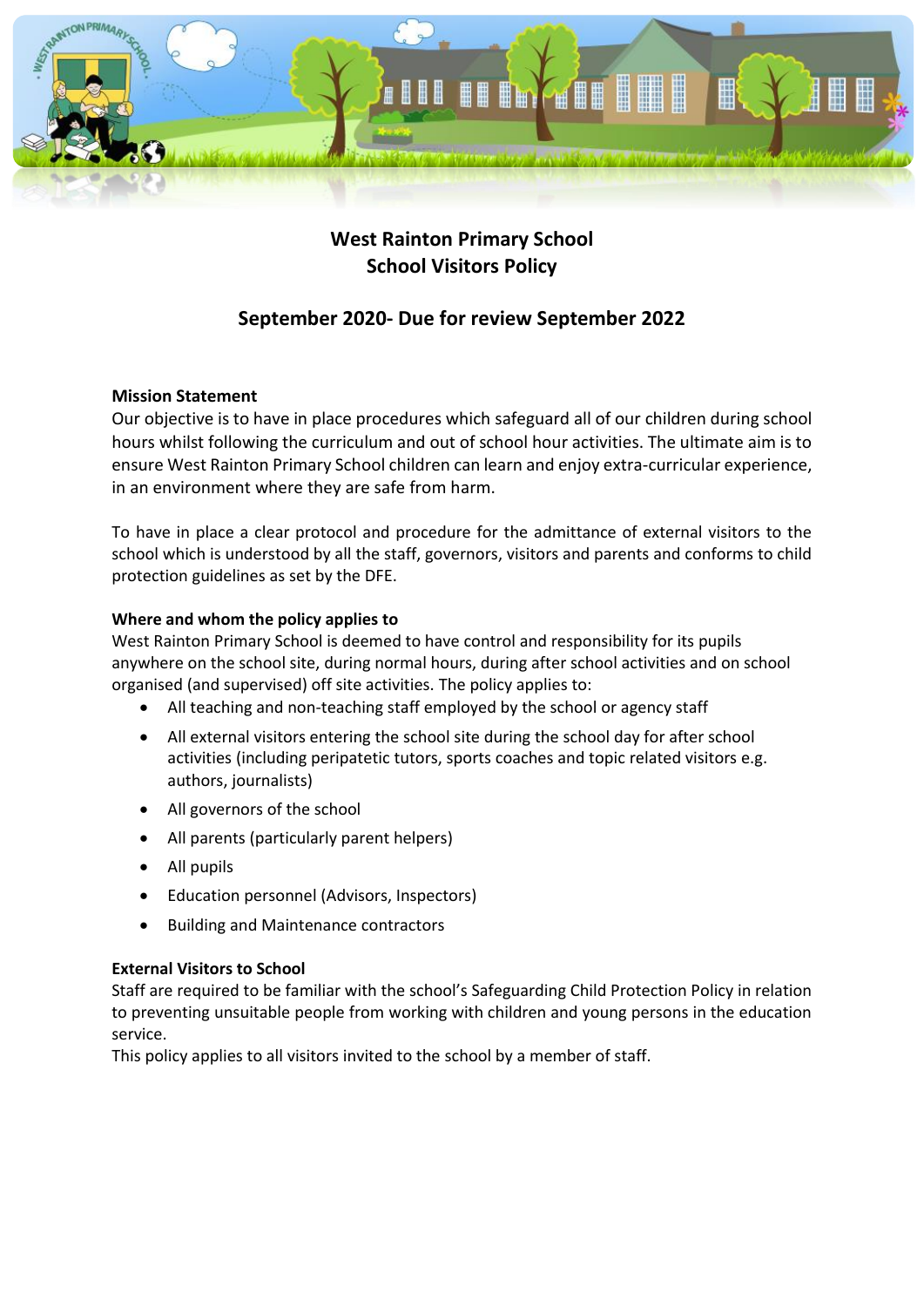

# **West Rainton Primary School School Visitors Policy**

# **September 2020- Due for review September 2022**

## **Mission Statement**

Our objective is to have in place procedures which safeguard all of our children during school hours whilst following the curriculum and out of school hour activities. The ultimate aim is to ensure West Rainton Primary School children can learn and enjoy extra-curricular experience, in an environment where they are safe from harm.

To have in place a clear protocol and procedure for the admittance of external visitors to the school which is understood by all the staff, governors, visitors and parents and conforms to child protection guidelines as set by the DFE.

## **Where and whom the policy applies to**

West Rainton Primary School is deemed to have control and responsibility for its pupils anywhere on the school site, during normal hours, during after school activities and on school organised (and supervised) off site activities. The policy applies to:

- All teaching and non-teaching staff employed by the school or agency staff
- All external visitors entering the school site during the school day for after school activities (including peripatetic tutors, sports coaches and topic related visitors e.g. authors, journalists)
- All governors of the school
- All parents (particularly parent helpers)
- All pupils
- Education personnel (Advisors, Inspectors)
- Building and Maintenance contractors

## **External Visitors to School**

Staff are required to be familiar with the school's Safeguarding Child Protection Policy in relation to preventing unsuitable people from working with children and young persons in the education service.

This policy applies to all visitors invited to the school by a member of staff.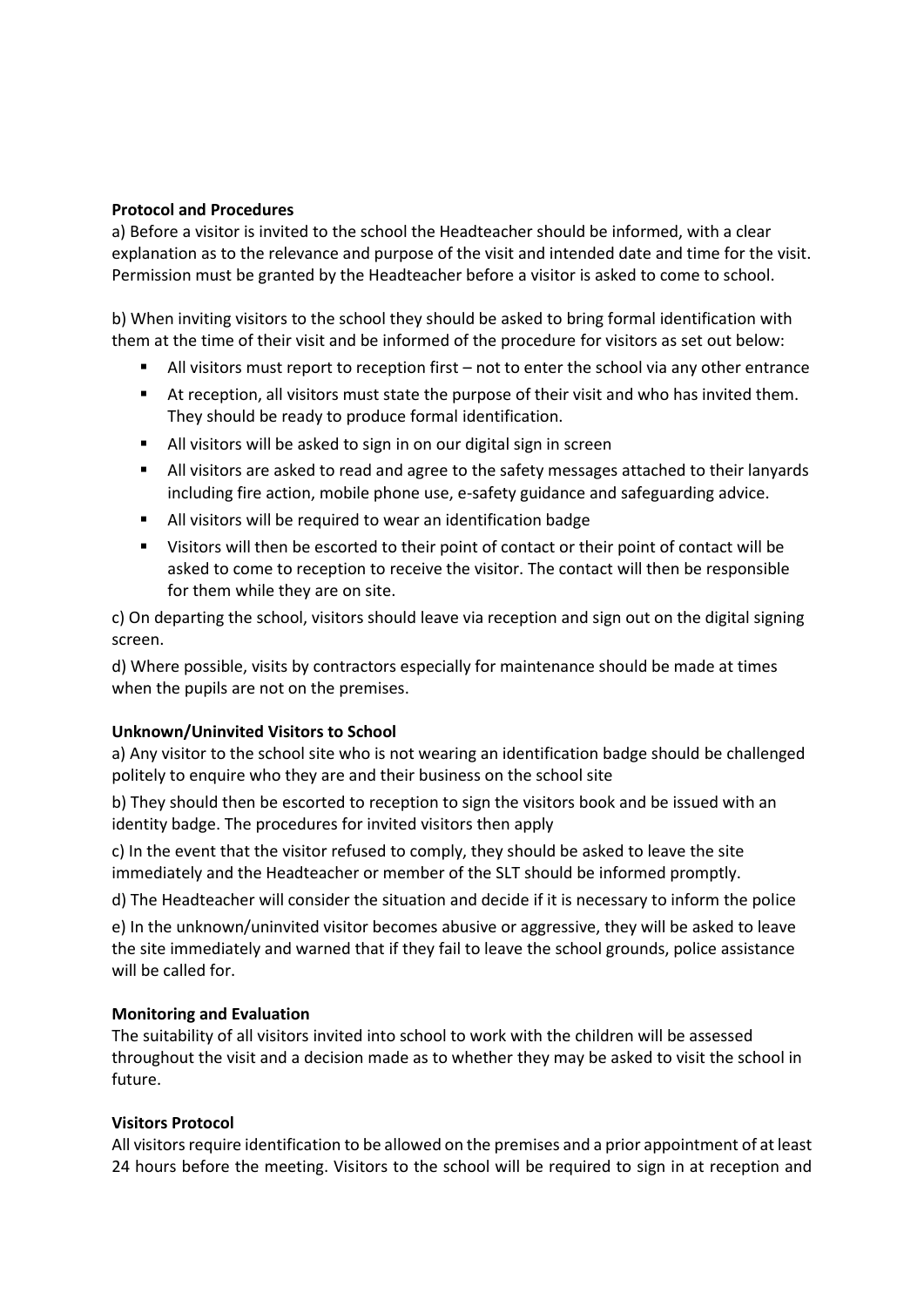#### **Protocol and Procedures**

a) Before a visitor is invited to the school the Headteacher should be informed, with a clear explanation as to the relevance and purpose of the visit and intended date and time for the visit. Permission must be granted by the Headteacher before a visitor is asked to come to school.

b) When inviting visitors to the school they should be asked to bring formal identification with them at the time of their visit and be informed of the procedure for visitors as set out below:

- $\blacksquare$  All visitors must report to reception first not to enter the school via any other entrance
- At reception, all visitors must state the purpose of their visit and who has invited them. They should be ready to produce formal identification.
- All visitors will be asked to sign in on our digital sign in screen
- All visitors are asked to read and agree to the safety messages attached to their lanyards including fire action, mobile phone use, e-safety guidance and safeguarding advice.
- All visitors will be required to wear an identification badge
- Visitors will then be escorted to their point of contact or their point of contact will be asked to come to reception to receive the visitor. The contact will then be responsible for them while they are on site.

c) On departing the school, visitors should leave via reception and sign out on the digital signing screen.

d) Where possible, visits by contractors especially for maintenance should be made at times when the pupils are not on the premises.

### **Unknown/Uninvited Visitors to School**

a) Any visitor to the school site who is not wearing an identification badge should be challenged politely to enquire who they are and their business on the school site

b) They should then be escorted to reception to sign the visitors book and be issued with an identity badge. The procedures for invited visitors then apply

c) In the event that the visitor refused to comply, they should be asked to leave the site immediately and the Headteacher or member of the SLT should be informed promptly.

d) The Headteacher will consider the situation and decide if it is necessary to inform the police

e) In the unknown/uninvited visitor becomes abusive or aggressive, they will be asked to leave the site immediately and warned that if they fail to leave the school grounds, police assistance will be called for.

### **Monitoring and Evaluation**

The suitability of all visitors invited into school to work with the children will be assessed throughout the visit and a decision made as to whether they may be asked to visit the school in future.

### **Visitors Protocol**

All visitors require identification to be allowed on the premises and a prior appointment of at least 24 hours before the meeting. Visitors to the school will be required to sign in at reception and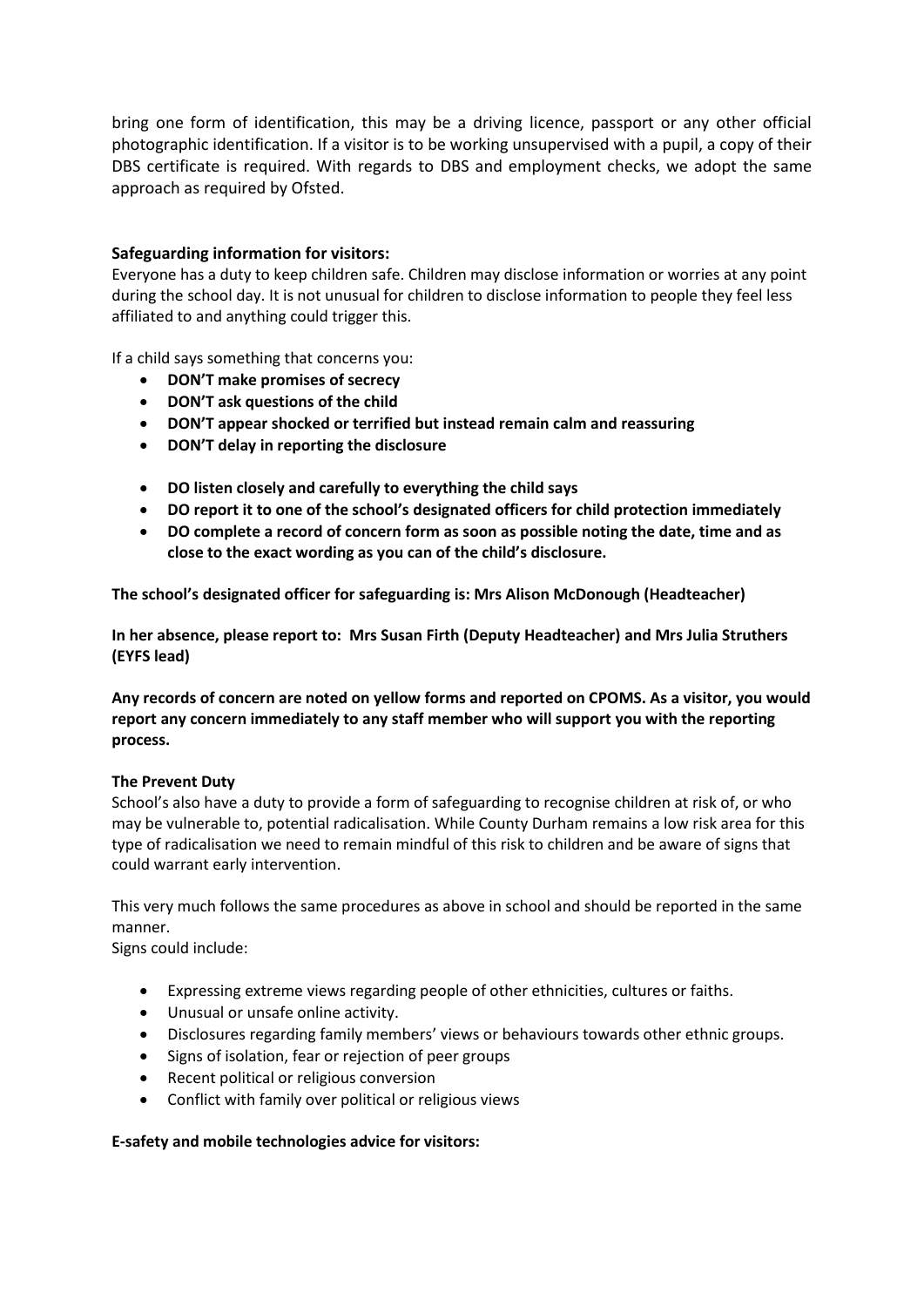bring one form of identification, this may be a driving licence, passport or any other official photographic identification. If a visitor is to be working unsupervised with a pupil, a copy of their DBS certificate is required. With regards to DBS and employment checks, we adopt the same approach as required by Ofsted.

#### **Safeguarding information for visitors:**

Everyone has a duty to keep children safe. Children may disclose information or worries at any point during the school day. It is not unusual for children to disclose information to people they feel less affiliated to and anything could trigger this.

If a child says something that concerns you:

- **DON'T make promises of secrecy**
- **DON'T ask questions of the child**
- **DON'T appear shocked or terrified but instead remain calm and reassuring**
- **DON'T delay in reporting the disclosure**
- **DO listen closely and carefully to everything the child says**
- **DO report it to one of the school's designated officers for child protection immediately**
- **DO complete a record of concern form as soon as possible noting the date, time and as close to the exact wording as you can of the child's disclosure.**

**The school's designated officer for safeguarding is: Mrs Alison McDonough (Headteacher)**

**In her absence, please report to: Mrs Susan Firth (Deputy Headteacher) and Mrs Julia Struthers (EYFS lead)**

**Any records of concern are noted on yellow forms and reported on CPOMS. As a visitor, you would report any concern immediately to any staff member who will support you with the reporting process.** 

#### **The Prevent Duty**

School's also have a duty to provide a form of safeguarding to recognise children at risk of, or who may be vulnerable to, potential radicalisation. While County Durham remains a low risk area for this type of radicalisation we need to remain mindful of this risk to children and be aware of signs that could warrant early intervention.

This very much follows the same procedures as above in school and should be reported in the same manner.

Signs could include:

- Expressing extreme views regarding people of other ethnicities, cultures or faiths.
- Unusual or unsafe online activity.
- Disclosures regarding family members' views or behaviours towards other ethnic groups.
- Signs of isolation, fear or rejection of peer groups
- Recent political or religious conversion
- Conflict with family over political or religious views

#### **E-safety and mobile technologies advice for visitors:**